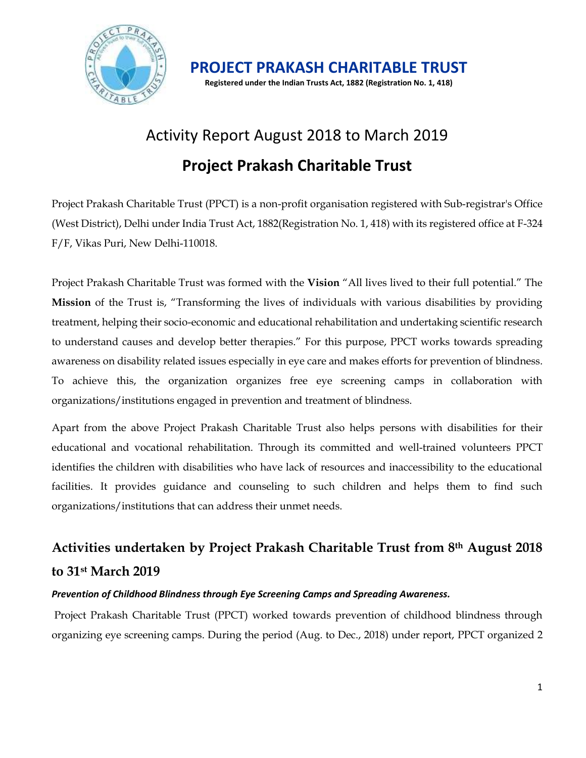

**PROJECT PRAKASH CHARITABLE TRUST Registered under the Indian Trusts Act, 1882 (Registration No. 1, 418)**

# Activity Report August 2018 to March 2019 **Project Prakash Charitable Trust**

Project Prakash Charitable Trust (PPCT) is a non-profit organisation registered with Sub-registrar's Office (West District), Delhi under India Trust Act, 1882(Registration No. 1, 418) with its registered office at F-324 F/F, Vikas Puri, New Delhi-110018.

Project Prakash Charitable Trust was formed with the **Vision** "All lives lived to their full potential." The **Mission** of the Trust is, "Transforming the lives of individuals with various disabilities by providing treatment, helping their socio-economic and educational rehabilitation and undertaking scientific research to understand causes and develop better therapies." For this purpose, PPCT works towards spreading awareness on disability related issues especially in eye care and makes efforts for prevention of blindness. To achieve this, the organization organizes free eye screening camps in collaboration with organizations/institutions engaged in prevention and treatment of blindness.

Apart from the above Project Prakash Charitable Trust also helps persons with disabilities for their educational and vocational rehabilitation. Through its committed and well-trained volunteers PPCT identifies the children with disabilities who have lack of resources and inaccessibility to the educational facilities. It provides guidance and counseling to such children and helps them to find such organizations/institutions that can address their unmet needs.

# **Activities undertaken by Project Prakash Charitable Trust from 8th August 2018 to 31st March 2019**

#### *Prevention of Childhood Blindness through Eye Screening Camps and Spreading Awareness.*

Project Prakash Charitable Trust (PPCT) worked towards prevention of childhood blindness through organizing eye screening camps. During the period (Aug. to Dec., 2018) under report, PPCT organized 2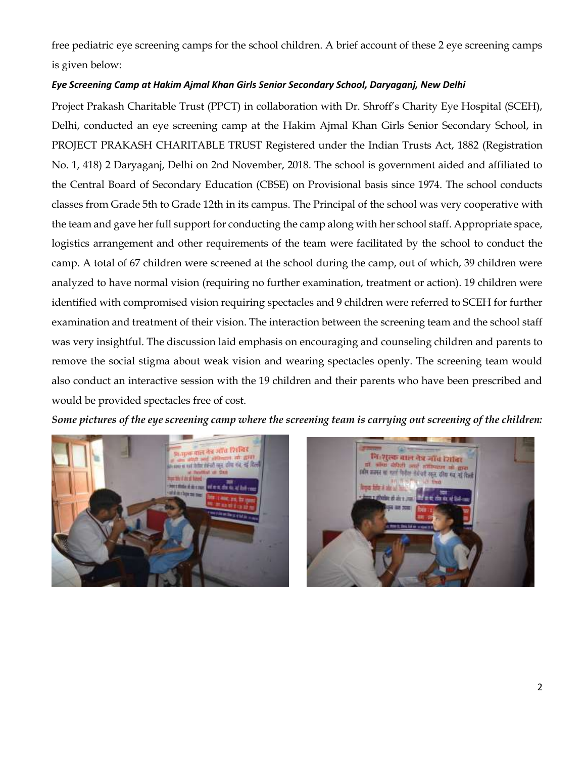free pediatric eye screening camps for the school children. A brief account of these 2 eye screening camps is given below:

#### *Eye Screening Camp at Hakim Ajmal Khan Girls Senior Secondary School, Daryaganj, New Delhi*

Project Prakash Charitable Trust (PPCT) in collaboration with Dr. Shroff's Charity Eye Hospital (SCEH), Delhi, conducted an eye screening camp at the Hakim Ajmal Khan Girls Senior Secondary School, in PROJECT PRAKASH CHARITABLE TRUST Registered under the Indian Trusts Act, 1882 (Registration No. 1, 418) 2 Daryaganj, Delhi on 2nd November, 2018. The school is government aided and affiliated to the Central Board of Secondary Education (CBSE) on Provisional basis since 1974. The school conducts classes from Grade 5th to Grade 12th in its campus. The Principal of the school was very cooperative with the team and gave her full support for conducting the camp along with her school staff. Appropriate space, logistics arrangement and other requirements of the team were facilitated by the school to conduct the camp. A total of 67 children were screened at the school during the camp, out of which, 39 children were analyzed to have normal vision (requiring no further examination, treatment or action). 19 children were identified with compromised vision requiring spectacles and 9 children were referred to SCEH for further examination and treatment of their vision. The interaction between the screening team and the school staff was very insightful. The discussion laid emphasis on encouraging and counseling children and parents to remove the social stigma about weak vision and wearing spectacles openly. The screening team would also conduct an interactive session with the 19 children and their parents who have been prescribed and would be provided spectacles free of cost.

*Some pictures of the eye screening camp where the screening team is carrying out screening of the children:* 



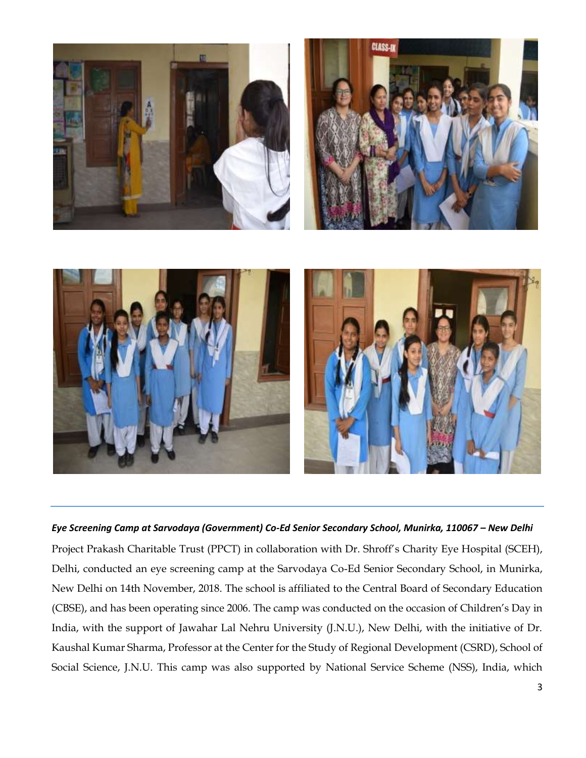

#### *Eye Screening Camp at Sarvodaya (Government) Co-Ed Senior Secondary School, Munirka, 110067 – New Delhi*

Project Prakash Charitable Trust (PPCT) in collaboration with Dr. Shroff's Charity Eye Hospital (SCEH), Delhi, conducted an eye screening camp at the Sarvodaya Co-Ed Senior Secondary School, in Munirka, New Delhi on 14th November, 2018. The school is affiliated to the Central Board of Secondary Education (CBSE), and has been operating since 2006. The camp was conducted on the occasion of Children's Day in India, with the support of Jawahar Lal Nehru University (J.N.U.), New Delhi, with the initiative of Dr. Kaushal Kumar Sharma, Professor at the Center for the Study of Regional Development (CSRD), School of Social Science, J.N.U. This camp was also supported by National Service Scheme (NSS), India, which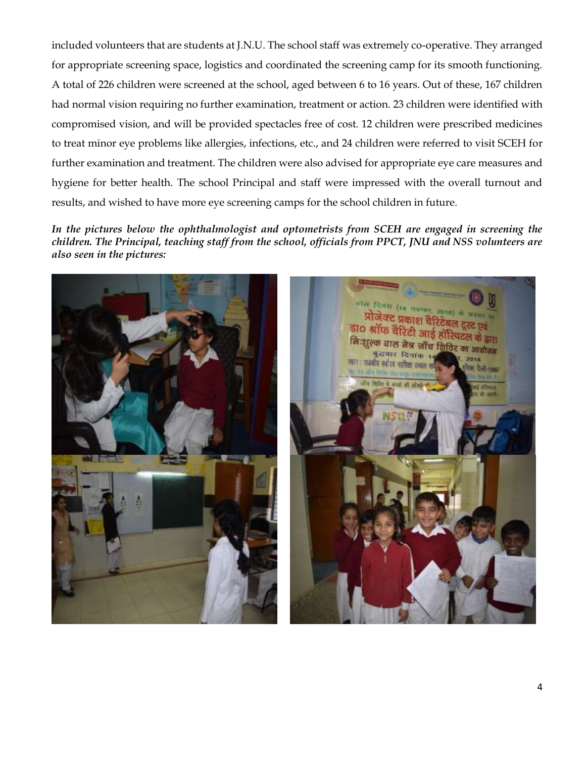included volunteers that are students at J.N.U. The school staff was extremely co-operative. They arranged for appropriate screening space, logistics and coordinated the screening camp for its smooth functioning. A total of 226 children were screened at the school, aged between 6 to 16 years. Out of these, 167 children had normal vision requiring no further examination, treatment or action. 23 children were identified with compromised vision, and will be provided spectacles free of cost. 12 children were prescribed medicines to treat minor eye problems like allergies, infections, etc., and 24 children were referred to visit SCEH for further examination and treatment. The children were also advised for appropriate eye care measures and hygiene for better health. The school Principal and staff were impressed with the overall turnout and results, and wished to have more eye screening camps for the school children in future.

*In the pictures below the ophthalmologist and optometrists from SCEH are engaged in screening the children. The Principal, teaching staff from the school, officials from PPCT, JNU and NSS volunteers are also seen in the pictures:* 



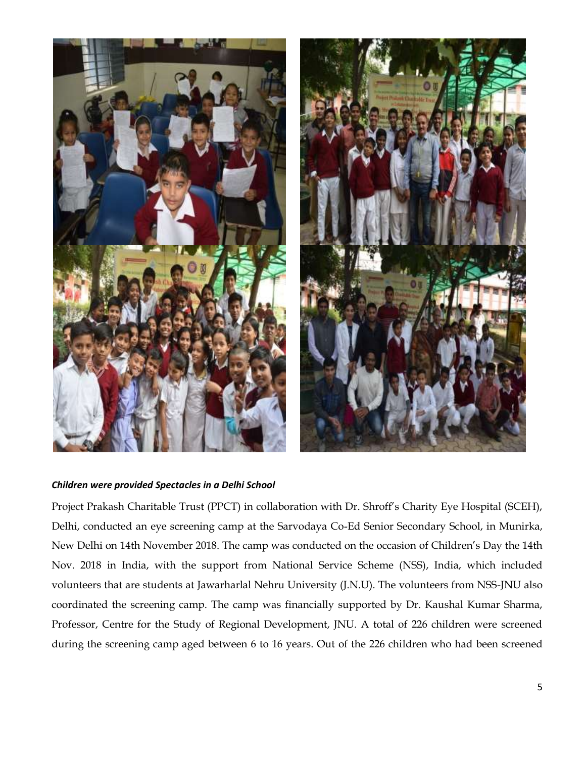

#### *Children were provided Spectacles in a Delhi School*

Project Prakash Charitable Trust (PPCT) in collaboration with Dr. Shroff's Charity Eye Hospital (SCEH), Delhi, conducted an eye screening camp at the Sarvodaya Co-Ed Senior Secondary School, in Munirka, New Delhi on 14th November 2018. The camp was conducted on the occasion of Children's Day the 14th Nov. 2018 in India, with the support from National Service Scheme (NSS), India, which included volunteers that are students at Jawarharlal Nehru University (J.N.U). The volunteers from NSS-JNU also coordinated the screening camp. The camp was financially supported by Dr. Kaushal Kumar Sharma, Professor, Centre for the Study of Regional Development, JNU. A total of 226 children were screened during the screening camp aged between 6 to 16 years. Out of the 226 children who had been screened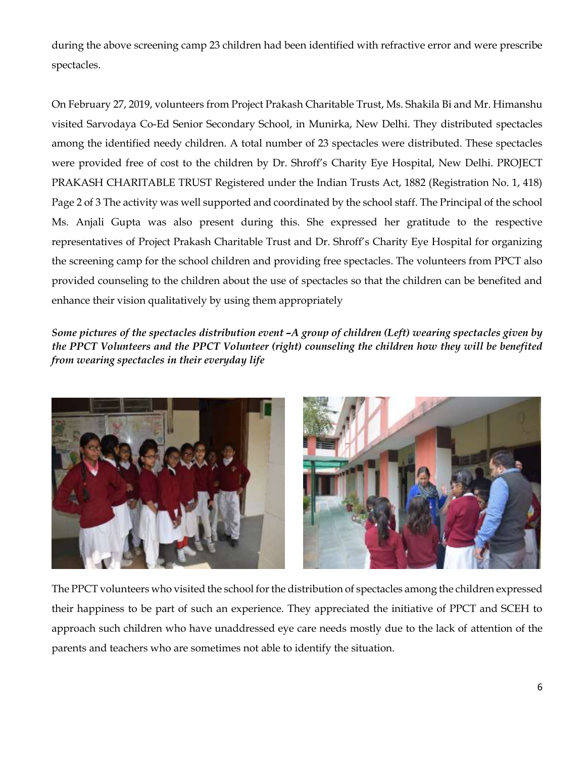during the above screening camp 23 children had been identified with refractive error and were prescribe spectacles.

On February 27, 2019, volunteers from Project Prakash Charitable Trust, Ms. Shakila Bi and Mr. Himanshu visited Sarvodaya Co-Ed Senior Secondary School, in Munirka, New Delhi. They distributed spectacles among the identified needy children. A total number of 23 spectacles were distributed. These spectacles were provided free of cost to the children by Dr. Shroff's Charity Eye Hospital, New Delhi. PROJECT PRAKASH CHARITABLE TRUST Registered under the Indian Trusts Act, 1882 (Registration No. 1, 418) Page 2 of 3 The activity was well supported and coordinated by the school staff. The Principal of the school Ms. Anjali Gupta was also present during this. She expressed her gratitude to the respective representatives of Project Prakash Charitable Trust and Dr. Shroff's Charity Eye Hospital for organizing the screening camp for the school children and providing free spectacles. The volunteers from PPCT also provided counseling to the children about the use of spectacles so that the children can be benefited and enhance their vision qualitatively by using them appropriately

*Some pictures of the spectacles distribution event –A group of children (Left) wearing spectacles given by the PPCT Volunteers and the PPCT Volunteer (right) counseling the children how they will be benefited from wearing spectacles in their everyday life* 





The PPCT volunteers who visited the school for the distribution of spectacles among the children expressed their happiness to be part of such an experience. They appreciated the initiative of PPCT and SCEH to approach such children who have unaddressed eye care needs mostly due to the lack of attention of the parents and teachers who are sometimes not able to identify the situation.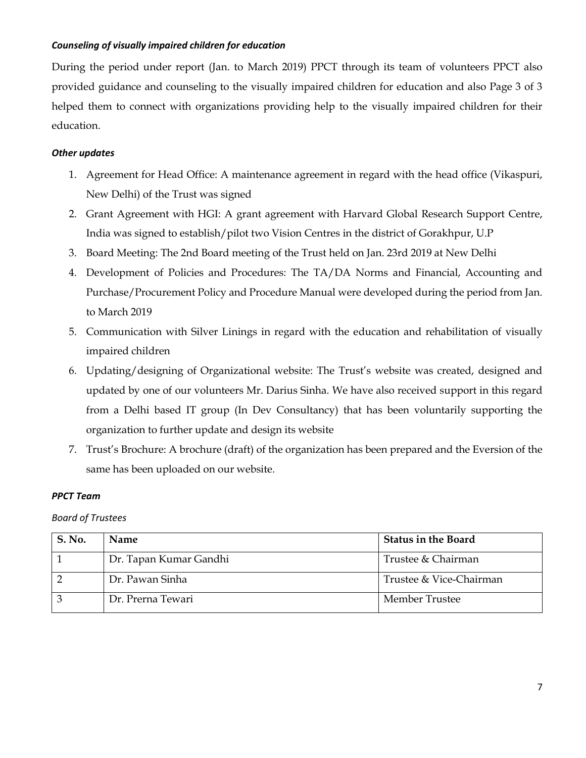#### *Counseling of visually impaired children for education*

During the period under report (Jan. to March 2019) PPCT through its team of volunteers PPCT also provided guidance and counseling to the visually impaired children for education and also Page 3 of 3 helped them to connect with organizations providing help to the visually impaired children for their education.

## *Other updates*

- 1. Agreement for Head Office: A maintenance agreement in regard with the head office (Vikaspuri, New Delhi) of the Trust was signed
- 2. Grant Agreement with HGI: A grant agreement with Harvard Global Research Support Centre, India was signed to establish/pilot two Vision Centres in the district of Gorakhpur, U.P
- 3. Board Meeting: The 2nd Board meeting of the Trust held on Jan. 23rd 2019 at New Delhi
- 4. Development of Policies and Procedures: The TA/DA Norms and Financial, Accounting and Purchase/Procurement Policy and Procedure Manual were developed during the period from Jan. to March 2019
- 5. Communication with Silver Linings in regard with the education and rehabilitation of visually impaired children
- 6. Updating/designing of Organizational website: The Trust's website was created, designed and updated by one of our volunteers Mr. Darius Sinha. We have also received support in this regard from a Delhi based IT group (In Dev Consultancy) that has been voluntarily supporting the organization to further update and design its website
- 7. Trust's Brochure: A brochure (draft) of the organization has been prepared and the Eversion of the same has been uploaded on our website.

#### *PPCT Team*

#### *Board of Trustees*

| <b>S. No.</b> | <b>Name</b>            | <b>Status in the Board</b> |
|---------------|------------------------|----------------------------|
|               | Dr. Tapan Kumar Gandhi | Trustee & Chairman         |
|               | Dr. Pawan Sinha        | Trustee & Vice-Chairman    |
|               | Dr. Prerna Tewari      | Member Trustee             |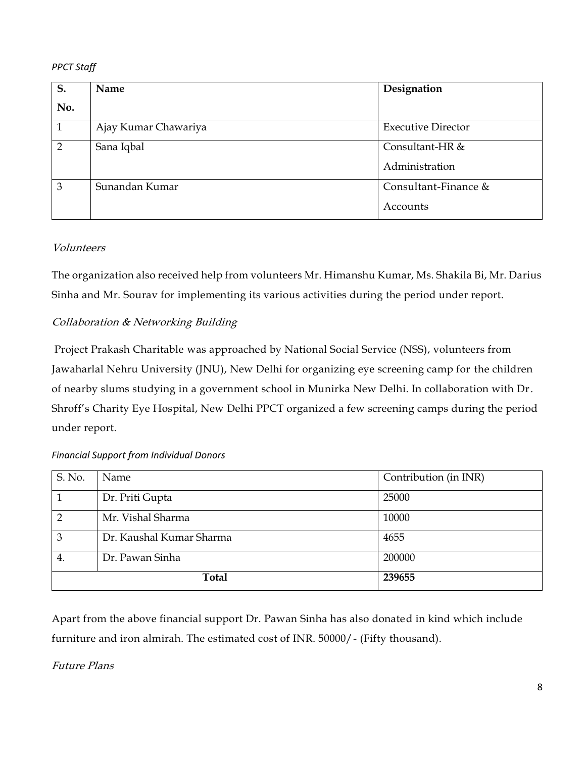## *PPCT Staff*

| S.             | Name                 | Designation               |
|----------------|----------------------|---------------------------|
| No.            |                      |                           |
| 1              | Ajay Kumar Chawariya | <b>Executive Director</b> |
| $\overline{2}$ | Sana Iqbal           | Consultant-HR &           |
|                |                      | Administration            |
| 3              | Sunandan Kumar       | Consultant-Finance &      |
|                |                      | Accounts                  |

# Volunteers

The organization also received help from volunteers Mr. Himanshu Kumar, Ms. Shakila Bi, Mr. Darius Sinha and Mr. Sourav for implementing its various activities during the period under report.

# Collaboration & Networking Building

Project Prakash Charitable was approached by National Social Service (NSS), volunteers from Jawaharlal Nehru University (JNU), New Delhi for organizing eye screening camp for the children of nearby slums studying in a government school in Munirka New Delhi. In collaboration with Dr. Shroff's Charity Eye Hospital, New Delhi PPCT organized a few screening camps during the period under report.

| S. No.         | Name                     | Contribution (in INR) |
|----------------|--------------------------|-----------------------|
|                | Dr. Priti Gupta          | 25000                 |
| $\overline{2}$ | Mr. Vishal Sharma        | 10000                 |
| 3              | Dr. Kaushal Kumar Sharma | 4655                  |
| 4.             | Dr. Pawan Sinha          | 200000                |
| <b>Total</b>   |                          | 239655                |

#### *Financial Support from Individual Donors*

Apart from the above financial support Dr. Pawan Sinha has also donated in kind which include furniture and iron almirah. The estimated cost of INR. 50000/- (Fifty thousand).

# Future Plans